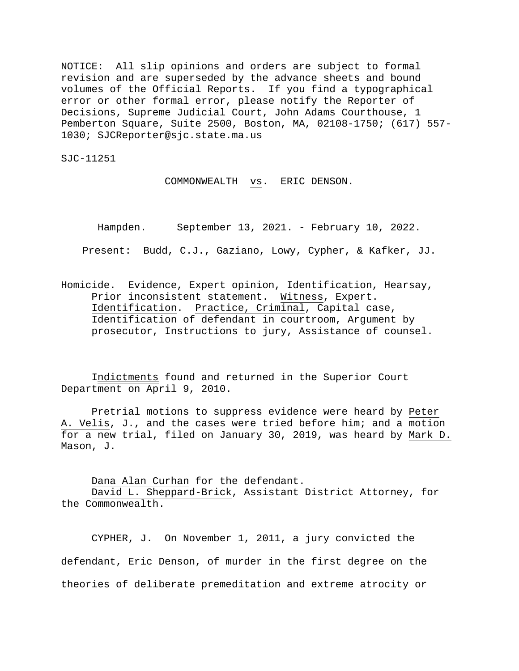NOTICE: All slip opinions and orders are subject to formal revision and are superseded by the advance sheets and bound volumes of the Official Reports. If you find a typographical error or other formal error, please notify the Reporter of Decisions, Supreme Judicial Court, John Adams Courthouse, 1 Pemberton Square, Suite 2500, Boston, MA, 02108-1750; (617) 557- 1030; SJCReporter@sjc.state.ma.us

SJC-11251

COMMONWEALTH vs. ERIC DENSON.

Hampden. September 13, 2021. - February 10, 2022.

Present: Budd, C.J., Gaziano, Lowy, Cypher, & Kafker, JJ.

Homicide. Evidence, Expert opinion, Identification, Hearsay, Prior inconsistent statement. Witness, Expert. Identification. Practice, Criminal, Capital case, Identification of defendant in courtroom, Argument by prosecutor, Instructions to jury, Assistance of counsel.

 Indictments found and returned in the Superior Court Department on April 9, 2010.

 Pretrial motions to suppress evidence were heard by Peter A. Velis, J., and the cases were tried before him; and a motion for a new trial, filed on January 30, 2019, was heard by Mark D. Mason, J.

Dana Alan Curhan for the defendant.

 David L. Sheppard-Brick, Assistant District Attorney, for the Commonwealth.

CYPHER, J. On November 1, 2011, a jury convicted the defendant, Eric Denson, of murder in the first degree on the theories of deliberate premeditation and extreme atrocity or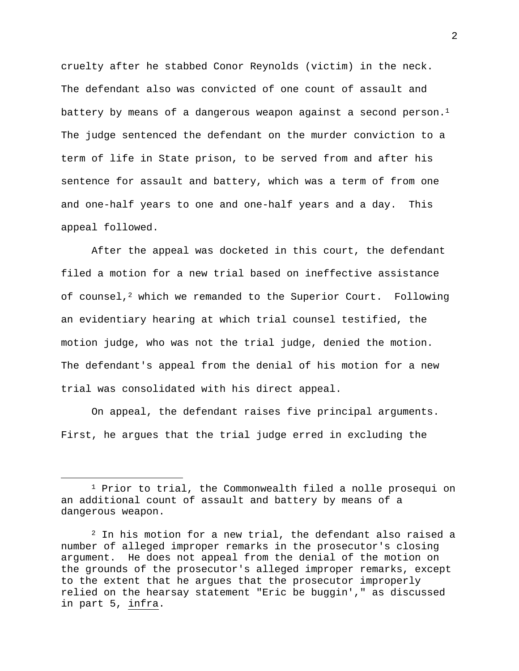cruelty after he stabbed Conor Reynolds (victim) in the neck. The defendant also was convicted of one count of assault and battery by means of a dangerous weapon against a second person.<sup>1</sup> The judge sentenced the defendant on the murder conviction to a term of life in State prison, to be served from and after his sentence for assault and battery, which was a term of from one and one-half years to one and one-half years and a day. This appeal followed.

 After the appeal was docketed in this court, the defendant filed a motion for a new trial based on ineffective assistance of counsel,<sup>2</sup> which we remanded to the Superior Court. Following an evidentiary hearing at which trial counsel testified, the motion judge, who was not the trial judge, denied the motion. The defendant's appeal from the denial of his motion for a new trial was consolidated with his direct appeal.

On appeal, the defendant raises five principal arguments. First, he argues that the trial judge erred in excluding the

<sup>&</sup>lt;sup>1</sup> Prior to trial, the Commonwealth filed a nolle prosequi on an additional count of assault and battery by means of a dangerous weapon.

<sup>2</sup> In his motion for a new trial, the defendant also raised a number of alleged improper remarks in the prosecutor's closing argument. He does not appeal from the denial of the motion on the grounds of the prosecutor's alleged improper remarks, except to the extent that he argues that the prosecutor improperly relied on the hearsay statement "Eric be buggin'," as discussed in part 5, infra.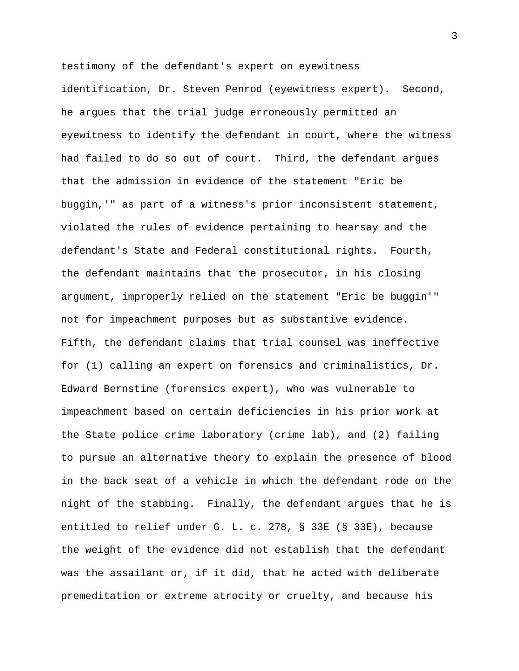testimony of the defendant's expert on eyewitness identification, Dr. Steven Penrod (eyewitness expert). Second, he argues that the trial judge erroneously permitted an eyewitness to identify the defendant in court, where the witness had failed to do so out of court. Third, the defendant argues that the admission in evidence of the statement "Eric be buggin,'" as part of a witness's prior inconsistent statement, violated the rules of evidence pertaining to hearsay and the defendant's State and Federal constitutional rights. Fourth, the defendant maintains that the prosecutor, in his closing argument, improperly relied on the statement "Eric be buggin'" not for impeachment purposes but as substantive evidence. Fifth, the defendant claims that trial counsel was ineffective for (1) calling an expert on forensics and criminalistics, Dr. Edward Bernstine (forensics expert), who was vulnerable to impeachment based on certain deficiencies in his prior work at the State police crime laboratory (crime lab), and (2) failing to pursue an alternative theory to explain the presence of blood in the back seat of a vehicle in which the defendant rode on the night of the stabbing. Finally, the defendant argues that he is entitled to relief under G. L. c. 278, § 33E (§ 33E), because the weight of the evidence did not establish that the defendant was the assailant or, if it did, that he acted with deliberate premeditation or extreme atrocity or cruelty, and because his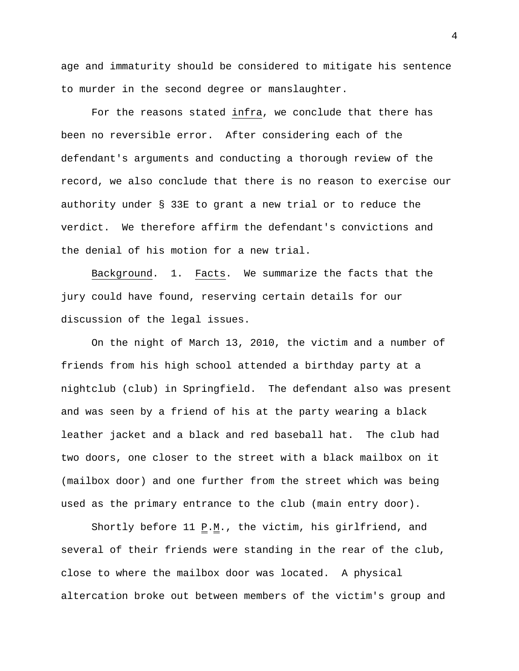age and immaturity should be considered to mitigate his sentence to murder in the second degree or manslaughter.

For the reasons stated infra, we conclude that there has been no reversible error. After considering each of the defendant's arguments and conducting a thorough review of the record, we also conclude that there is no reason to exercise our authority under § 33E to grant a new trial or to reduce the verdict. We therefore affirm the defendant's convictions and the denial of his motion for a new trial.

Background. 1. Facts. We summarize the facts that the jury could have found, reserving certain details for our discussion of the legal issues.

On the night of March 13, 2010, the victim and a number of friends from his high school attended a birthday party at a nightclub (club) in Springfield. The defendant also was present and was seen by a friend of his at the party wearing a black leather jacket and a black and red baseball hat. The club had two doors, one closer to the street with a black mailbox on it (mailbox door) and one further from the street which was being used as the primary entrance to the club (main entry door).

Shortly before 11  $\underline{P.M.}$ , the victim, his girlfriend, and several of their friends were standing in the rear of the club, close to where the mailbox door was located. A physical altercation broke out between members of the victim's group and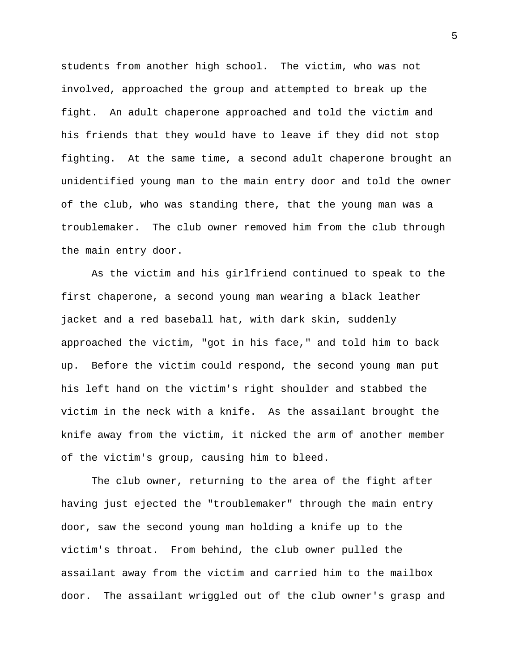students from another high school. The victim, who was not involved, approached the group and attempted to break up the fight. An adult chaperone approached and told the victim and his friends that they would have to leave if they did not stop fighting. At the same time, a second adult chaperone brought an unidentified young man to the main entry door and told the owner of the club, who was standing there, that the young man was a troublemaker. The club owner removed him from the club through the main entry door.

As the victim and his girlfriend continued to speak to the first chaperone, a second young man wearing a black leather jacket and a red baseball hat, with dark skin, suddenly approached the victim, "got in his face," and told him to back up. Before the victim could respond, the second young man put his left hand on the victim's right shoulder and stabbed the victim in the neck with a knife. As the assailant brought the knife away from the victim, it nicked the arm of another member of the victim's group, causing him to bleed.

The club owner, returning to the area of the fight after having just ejected the "troublemaker" through the main entry door, saw the second young man holding a knife up to the victim's throat. From behind, the club owner pulled the assailant away from the victim and carried him to the mailbox door. The assailant wriggled out of the club owner's grasp and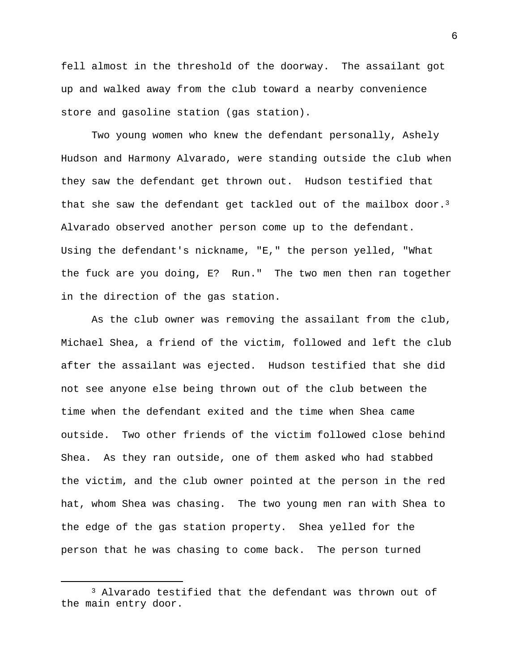fell almost in the threshold of the doorway. The assailant got up and walked away from the club toward a nearby convenience store and gasoline station (gas station).

Two young women who knew the defendant personally, Ashely Hudson and Harmony Alvarado, were standing outside the club when they saw the defendant get thrown out. Hudson testified that that she saw the defendant get tackled out of the mailbox door.<sup>3</sup> Alvarado observed another person come up to the defendant. Using the defendant's nickname, "E," the person yelled, "What the fuck are you doing, E? Run." The two men then ran together in the direction of the gas station.

As the club owner was removing the assailant from the club, Michael Shea, a friend of the victim, followed and left the club after the assailant was ejected. Hudson testified that she did not see anyone else being thrown out of the club between the time when the defendant exited and the time when Shea came outside. Two other friends of the victim followed close behind Shea. As they ran outside, one of them asked who had stabbed the victim, and the club owner pointed at the person in the red hat, whom Shea was chasing. The two young men ran with Shea to the edge of the gas station property. Shea yelled for the person that he was chasing to come back. The person turned

<sup>3</sup> Alvarado testified that the defendant was thrown out of the main entry door.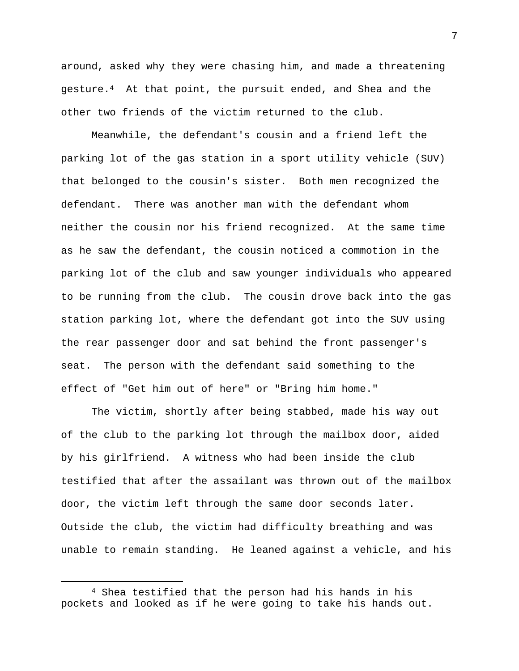around, asked why they were chasing him, and made a threatening gesture.4 At that point, the pursuit ended, and Shea and the other two friends of the victim returned to the club.

Meanwhile, the defendant's cousin and a friend left the parking lot of the gas station in a sport utility vehicle (SUV) that belonged to the cousin's sister. Both men recognized the defendant. There was another man with the defendant whom neither the cousin nor his friend recognized. At the same time as he saw the defendant, the cousin noticed a commotion in the parking lot of the club and saw younger individuals who appeared to be running from the club. The cousin drove back into the gas station parking lot, where the defendant got into the SUV using the rear passenger door and sat behind the front passenger's seat. The person with the defendant said something to the effect of "Get him out of here" or "Bring him home."

The victim, shortly after being stabbed, made his way out of the club to the parking lot through the mailbox door, aided by his girlfriend. A witness who had been inside the club testified that after the assailant was thrown out of the mailbox door, the victim left through the same door seconds later. Outside the club, the victim had difficulty breathing and was unable to remain standing. He leaned against a vehicle, and his

<sup>4</sup> Shea testified that the person had his hands in his pockets and looked as if he were going to take his hands out.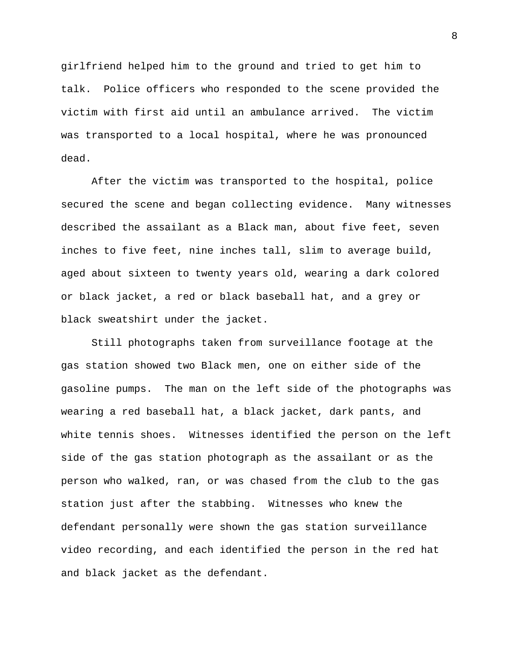girlfriend helped him to the ground and tried to get him to talk. Police officers who responded to the scene provided the victim with first aid until an ambulance arrived. The victim was transported to a local hospital, where he was pronounced dead.

After the victim was transported to the hospital, police secured the scene and began collecting evidence. Many witnesses described the assailant as a Black man, about five feet, seven inches to five feet, nine inches tall, slim to average build, aged about sixteen to twenty years old, wearing a dark colored or black jacket, a red or black baseball hat, and a grey or black sweatshirt under the jacket.

Still photographs taken from surveillance footage at the gas station showed two Black men, one on either side of the gasoline pumps. The man on the left side of the photographs was wearing a red baseball hat, a black jacket, dark pants, and white tennis shoes. Witnesses identified the person on the left side of the gas station photograph as the assailant or as the person who walked, ran, or was chased from the club to the gas station just after the stabbing. Witnesses who knew the defendant personally were shown the gas station surveillance video recording, and each identified the person in the red hat and black jacket as the defendant.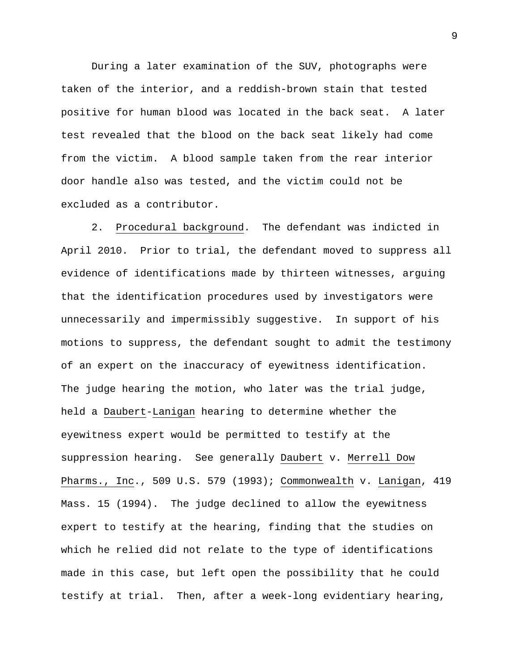During a later examination of the SUV, photographs were taken of the interior, and a reddish-brown stain that tested positive for human blood was located in the back seat. A later test revealed that the blood on the back seat likely had come from the victim. A blood sample taken from the rear interior door handle also was tested, and the victim could not be excluded as a contributor.

 2. Procedural background. The defendant was indicted in April 2010. Prior to trial, the defendant moved to suppress all evidence of identifications made by thirteen witnesses, arguing that the identification procedures used by investigators were unnecessarily and impermissibly suggestive. In support of his motions to suppress, the defendant sought to admit the testimony of an expert on the inaccuracy of eyewitness identification. The judge hearing the motion, who later was the trial judge, held a Daubert-Lanigan hearing to determine whether the eyewitness expert would be permitted to testify at the suppression hearing. See generally Daubert v. Merrell Dow Pharms., Inc., 509 U.S. 579 (1993); Commonwealth v. Lanigan, 419 Mass. 15 (1994). The judge declined to allow the eyewitness expert to testify at the hearing, finding that the studies on which he relied did not relate to the type of identifications made in this case, but left open the possibility that he could testify at trial. Then, after a week-long evidentiary hearing,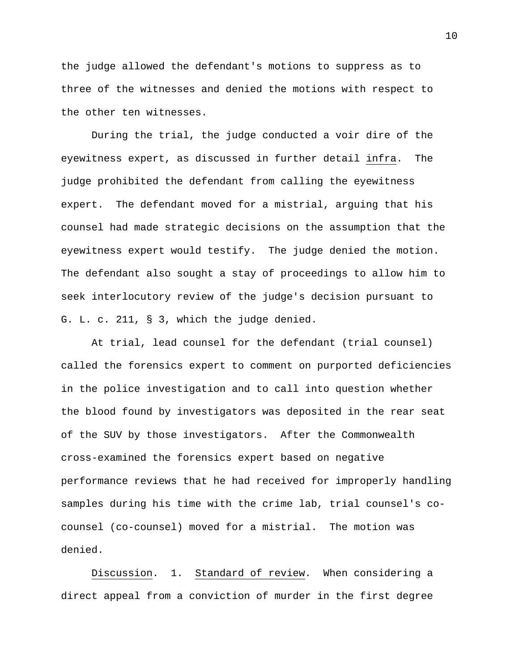the judge allowed the defendant's motions to suppress as to three of the witnesses and denied the motions with respect to the other ten witnesses.

 During the trial, the judge conducted a voir dire of the eyewitness expert, as discussed in further detail infra. The judge prohibited the defendant from calling the eyewitness expert. The defendant moved for a mistrial, arguing that his counsel had made strategic decisions on the assumption that the eyewitness expert would testify. The judge denied the motion. The defendant also sought a stay of proceedings to allow him to seek interlocutory review of the judge's decision pursuant to G. L. c. 211, § 3, which the judge denied.

At trial, lead counsel for the defendant (trial counsel) called the forensics expert to comment on purported deficiencies in the police investigation and to call into question whether the blood found by investigators was deposited in the rear seat of the SUV by those investigators. After the Commonwealth cross-examined the forensics expert based on negative performance reviews that he had received for improperly handling samples during his time with the crime lab, trial counsel's cocounsel (co-counsel) moved for a mistrial. The motion was denied.

 Discussion. 1. Standard of review. When considering a direct appeal from a conviction of murder in the first degree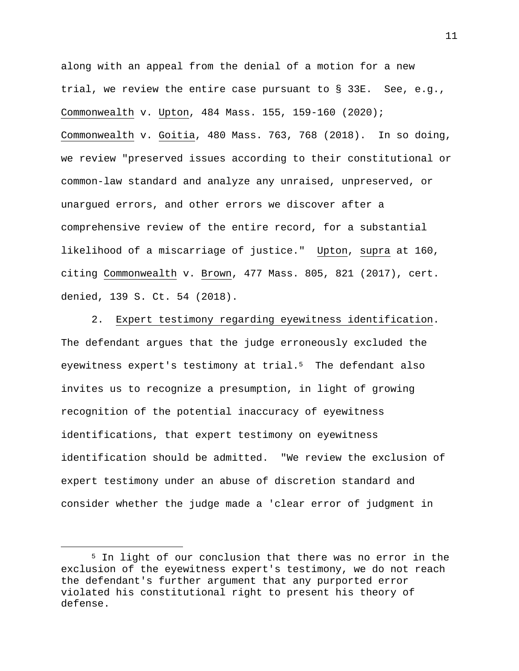along with an appeal from the denial of a motion for a new trial, we review the entire case pursuant to § 33E. See, e.g., Commonwealth v. Upton, 484 Mass. 155, 159-160 (2020); Commonwealth v. Goitia, 480 Mass. 763, 768 (2018). In so doing, we review "preserved issues according to their constitutional or common-law standard and analyze any unraised, unpreserved, or unargued errors, and other errors we discover after a comprehensive review of the entire record, for a substantial likelihood of a miscarriage of justice." Upton, supra at 160, citing Commonwealth v. Brown, 477 Mass. 805, 821 (2017), cert. denied, 139 S. Ct. 54 (2018).

 2. Expert testimony regarding eyewitness identification. The defendant argues that the judge erroneously excluded the eyewitness expert's testimony at trial.<sup>5</sup> The defendant also invites us to recognize a presumption, in light of growing recognition of the potential inaccuracy of eyewitness identifications, that expert testimony on eyewitness identification should be admitted. "We review the exclusion of expert testimony under an abuse of discretion standard and consider whether the judge made a 'clear error of judgment in

<sup>5</sup> In light of our conclusion that there was no error in the exclusion of the eyewitness expert's testimony, we do not reach the defendant's further argument that any purported error violated his constitutional right to present his theory of defense.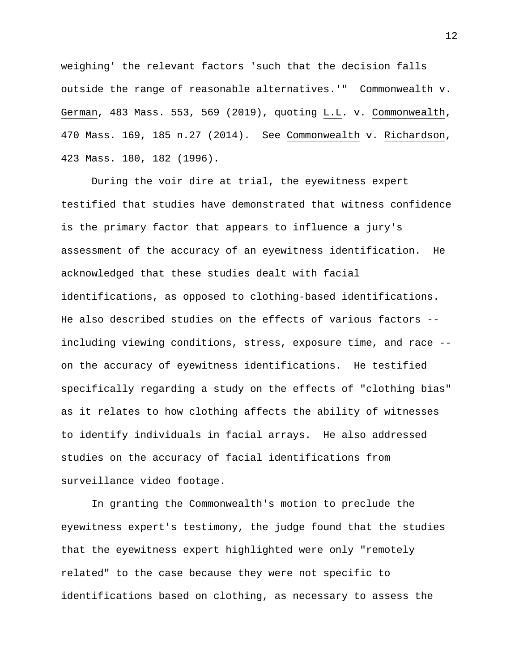weighing' the relevant factors 'such that the decision falls outside the range of reasonable alternatives.'" Commonwealth v. German, 483 Mass. 553, 569 (2019), quoting L.L. v. Commonwealth, 470 Mass. 169, 185 n.27 (2014). See Commonwealth v. Richardson, 423 Mass. 180, 182 (1996).

During the voir dire at trial, the eyewitness expert testified that studies have demonstrated that witness confidence is the primary factor that appears to influence a jury's assessment of the accuracy of an eyewitness identification. He acknowledged that these studies dealt with facial identifications, as opposed to clothing-based identifications. He also described studies on the effects of various factors - including viewing conditions, stress, exposure time, and race - on the accuracy of eyewitness identifications. He testified specifically regarding a study on the effects of "clothing bias" as it relates to how clothing affects the ability of witnesses to identify individuals in facial arrays. He also addressed studies on the accuracy of facial identifications from surveillance video footage.

In granting the Commonwealth's motion to preclude the eyewitness expert's testimony, the judge found that the studies that the eyewitness expert highlighted were only "remotely related" to the case because they were not specific to identifications based on clothing, as necessary to assess the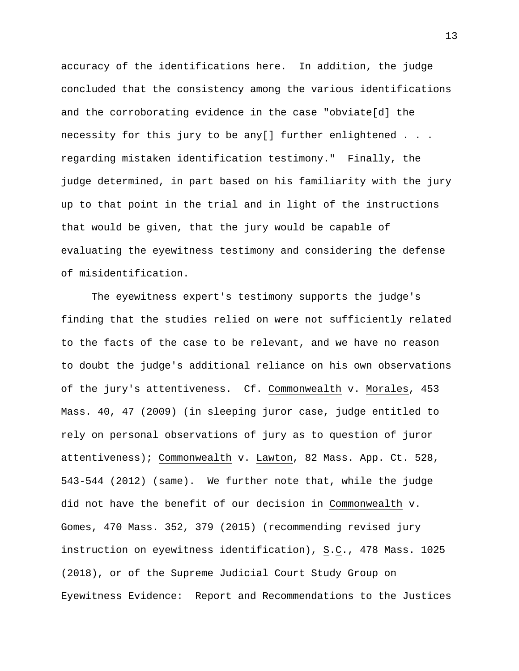accuracy of the identifications here. In addition, the judge concluded that the consistency among the various identifications and the corroborating evidence in the case "obviate[d] the necessity for this jury to be any[] further enlightened . . . regarding mistaken identification testimony." Finally, the judge determined, in part based on his familiarity with the jury up to that point in the trial and in light of the instructions that would be given, that the jury would be capable of evaluating the eyewitness testimony and considering the defense of misidentification.

The eyewitness expert's testimony supports the judge's finding that the studies relied on were not sufficiently related to the facts of the case to be relevant, and we have no reason to doubt the judge's additional reliance on his own observations of the jury's attentiveness. Cf. Commonwealth v. Morales, 453 Mass. 40, 47 (2009) (in sleeping juror case, judge entitled to rely on personal observations of jury as to question of juror attentiveness); Commonwealth v. Lawton, 82 Mass. App. Ct. 528, 543-544 (2012) (same). We further note that, while the judge did not have the benefit of our decision in Commonwealth v. Gomes, 470 Mass. 352, 379 (2015) (recommending revised jury instruction on eyewitness identification), S.C., 478 Mass. 1025 (2018), or of the Supreme Judicial Court Study Group on Eyewitness Evidence: Report and Recommendations to the Justices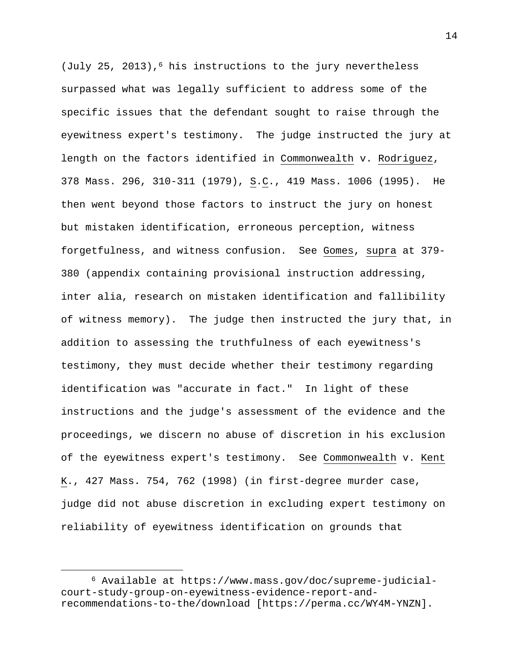(July 25, 2013),<sup>6</sup> his instructions to the jury nevertheless surpassed what was legally sufficient to address some of the specific issues that the defendant sought to raise through the eyewitness expert's testimony. The judge instructed the jury at length on the factors identified in Commonwealth v. Rodriguez, 378 Mass. 296, 310-311 (1979), S.C., 419 Mass. 1006 (1995). He then went beyond those factors to instruct the jury on honest but mistaken identification, erroneous perception, witness forgetfulness, and witness confusion. See Gomes, supra at 379- 380 (appendix containing provisional instruction addressing, inter alia, research on mistaken identification and fallibility of witness memory). The judge then instructed the jury that, in addition to assessing the truthfulness of each eyewitness's testimony, they must decide whether their testimony regarding identification was "accurate in fact." In light of these instructions and the judge's assessment of the evidence and the proceedings, we discern no abuse of discretion in his exclusion of the eyewitness expert's testimony. See Commonwealth v. Kent K., 427 Mass. 754, 762 (1998) (in first-degree murder case, judge did not abuse discretion in excluding expert testimony on reliability of eyewitness identification on grounds that

<sup>6</sup> Available at https://www.mass.gov/doc/supreme-judicialcourt-study-group-on-eyewitness-evidence-report-andrecommendations-to-the/download [https://perma.cc/WY4M-YNZN].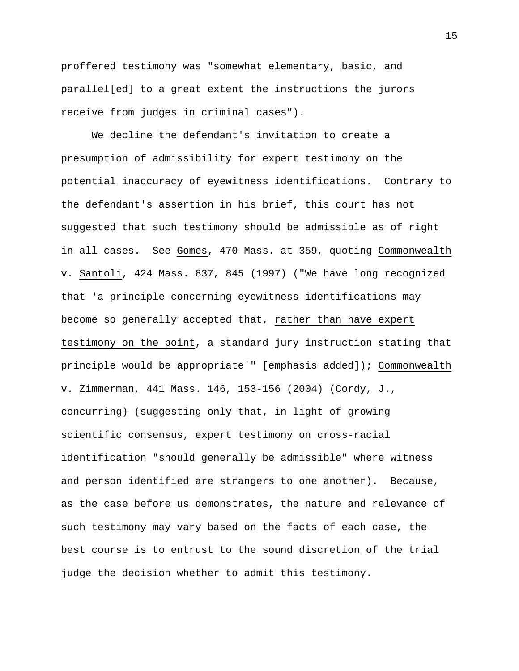proffered testimony was "somewhat elementary, basic, and parallel[ed] to a great extent the instructions the jurors receive from judges in criminal cases").

We decline the defendant's invitation to create a presumption of admissibility for expert testimony on the potential inaccuracy of eyewitness identifications. Contrary to the defendant's assertion in his brief, this court has not suggested that such testimony should be admissible as of right in all cases. See Gomes, 470 Mass. at 359, quoting Commonwealth v. Santoli, 424 Mass. 837, 845 (1997) ("We have long recognized that 'a principle concerning eyewitness identifications may become so generally accepted that, rather than have expert testimony on the point, a standard jury instruction stating that principle would be appropriate'" [emphasis added]); Commonwealth v. Zimmerman, 441 Mass. 146, 153-156 (2004) (Cordy, J., concurring) (suggesting only that, in light of growing scientific consensus, expert testimony on cross-racial identification "should generally be admissible" where witness and person identified are strangers to one another). Because, as the case before us demonstrates, the nature and relevance of such testimony may vary based on the facts of each case, the best course is to entrust to the sound discretion of the trial judge the decision whether to admit this testimony.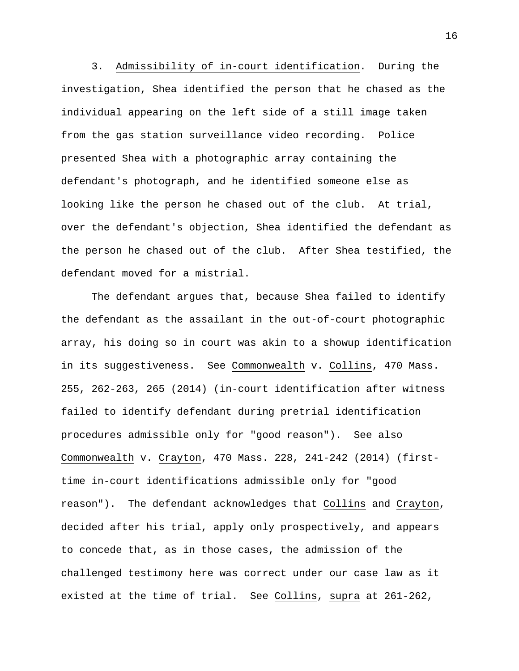3. Admissibility of in-court identification. During the investigation, Shea identified the person that he chased as the individual appearing on the left side of a still image taken from the gas station surveillance video recording. Police presented Shea with a photographic array containing the defendant's photograph, and he identified someone else as looking like the person he chased out of the club. At trial, over the defendant's objection, Shea identified the defendant as the person he chased out of the club. After Shea testified, the defendant moved for a mistrial.

The defendant argues that, because Shea failed to identify the defendant as the assailant in the out-of-court photographic array, his doing so in court was akin to a showup identification in its suggestiveness. See Commonwealth v. Collins, 470 Mass. 255, 262-263, 265 (2014) (in-court identification after witness failed to identify defendant during pretrial identification procedures admissible only for "good reason"). See also Commonwealth v. Crayton, 470 Mass. 228, 241-242 (2014) (firsttime in-court identifications admissible only for "good reason"). The defendant acknowledges that Collins and Crayton, decided after his trial, apply only prospectively, and appears to concede that, as in those cases, the admission of the challenged testimony here was correct under our case law as it existed at the time of trial. See Collins, supra at 261-262,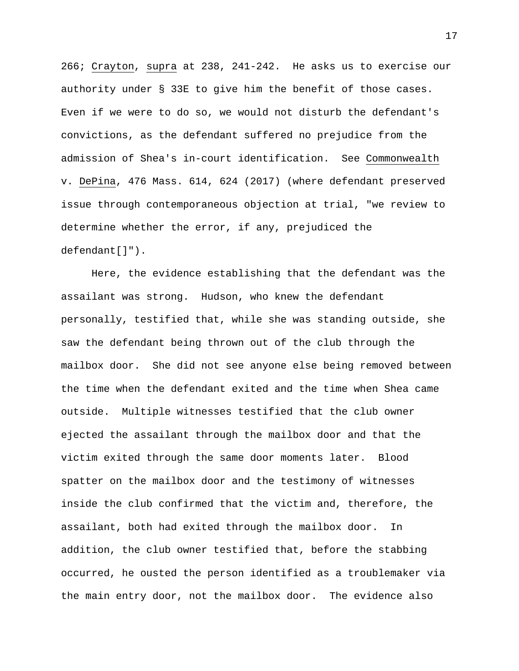266; Crayton, supra at 238, 241-242. He asks us to exercise our authority under § 33E to give him the benefit of those cases. Even if we were to do so, we would not disturb the defendant's convictions, as the defendant suffered no prejudice from the admission of Shea's in-court identification. See Commonwealth v. DePina, 476 Mass. 614, 624 (2017) (where defendant preserved issue through contemporaneous objection at trial, "we review to determine whether the error, if any, prejudiced the defendant[]").

Here, the evidence establishing that the defendant was the assailant was strong. Hudson, who knew the defendant personally, testified that, while she was standing outside, she saw the defendant being thrown out of the club through the mailbox door. She did not see anyone else being removed between the time when the defendant exited and the time when Shea came outside. Multiple witnesses testified that the club owner ejected the assailant through the mailbox door and that the victim exited through the same door moments later. Blood spatter on the mailbox door and the testimony of witnesses inside the club confirmed that the victim and, therefore, the assailant, both had exited through the mailbox door. In addition, the club owner testified that, before the stabbing occurred, he ousted the person identified as a troublemaker via the main entry door, not the mailbox door. The evidence also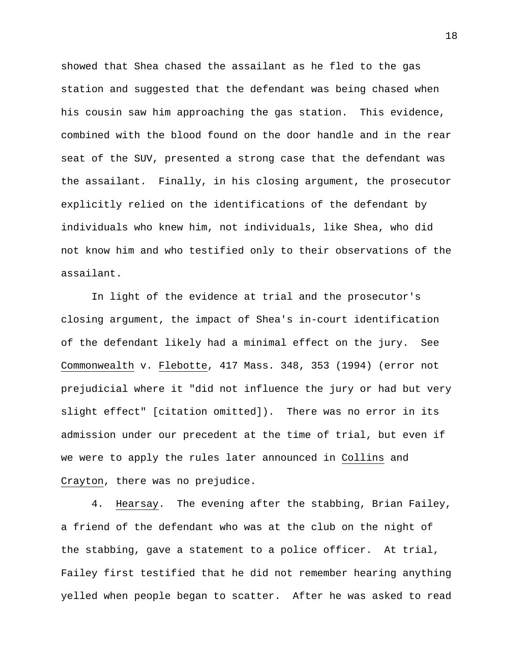showed that Shea chased the assailant as he fled to the gas station and suggested that the defendant was being chased when his cousin saw him approaching the gas station. This evidence, combined with the blood found on the door handle and in the rear seat of the SUV, presented a strong case that the defendant was the assailant. Finally, in his closing argument, the prosecutor explicitly relied on the identifications of the defendant by individuals who knew him, not individuals, like Shea, who did not know him and who testified only to their observations of the assailant.

In light of the evidence at trial and the prosecutor's closing argument, the impact of Shea's in-court identification of the defendant likely had a minimal effect on the jury. See Commonwealth v. Flebotte, 417 Mass. 348, 353 (1994) (error not prejudicial where it "did not influence the jury or had but very slight effect" [citation omitted]). There was no error in its admission under our precedent at the time of trial, but even if we were to apply the rules later announced in Collins and Crayton, there was no prejudice.

4. Hearsay. The evening after the stabbing, Brian Failey, a friend of the defendant who was at the club on the night of the stabbing, gave a statement to a police officer. At trial, Failey first testified that he did not remember hearing anything yelled when people began to scatter. After he was asked to read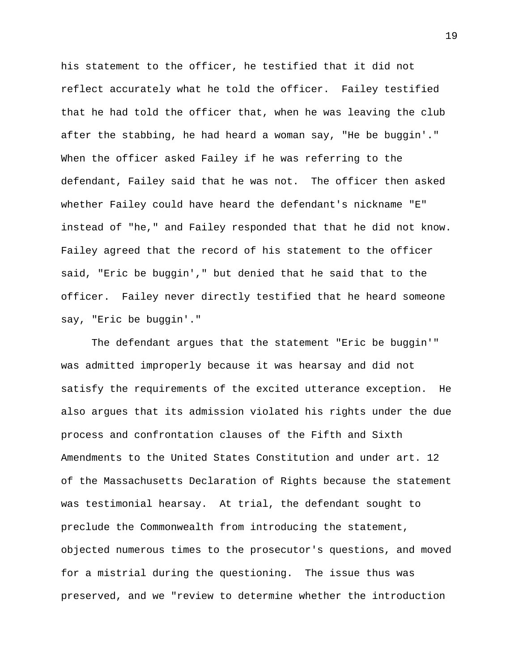his statement to the officer, he testified that it did not reflect accurately what he told the officer. Failey testified that he had told the officer that, when he was leaving the club after the stabbing, he had heard a woman say, "He be buggin'." When the officer asked Failey if he was referring to the defendant, Failey said that he was not. The officer then asked whether Failey could have heard the defendant's nickname "E" instead of "he," and Failey responded that that he did not know. Failey agreed that the record of his statement to the officer said, "Eric be buggin'," but denied that he said that to the officer. Failey never directly testified that he heard someone say, "Eric be buggin'."

The defendant argues that the statement "Eric be buggin'" was admitted improperly because it was hearsay and did not satisfy the requirements of the excited utterance exception. He also argues that its admission violated his rights under the due process and confrontation clauses of the Fifth and Sixth Amendments to the United States Constitution and under art. 12 of the Massachusetts Declaration of Rights because the statement was testimonial hearsay. At trial, the defendant sought to preclude the Commonwealth from introducing the statement, objected numerous times to the prosecutor's questions, and moved for a mistrial during the questioning. The issue thus was preserved, and we "review to determine whether the introduction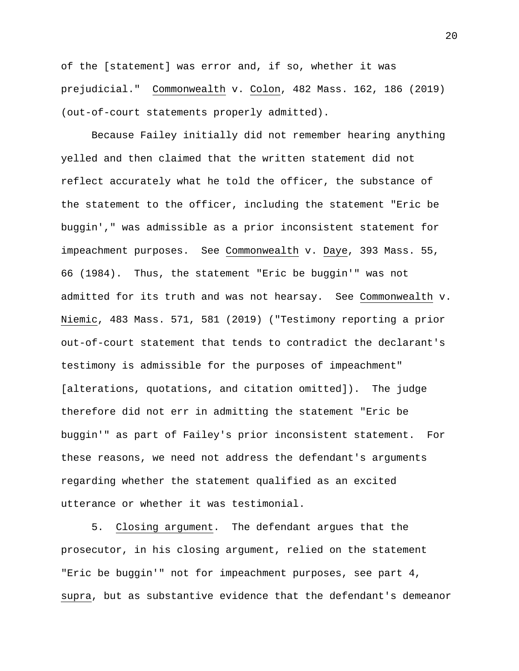of the [statement] was error and, if so, whether it was prejudicial." Commonwealth v. Colon, 482 Mass. 162, 186 (2019) (out-of-court statements properly admitted).

Because Failey initially did not remember hearing anything yelled and then claimed that the written statement did not reflect accurately what he told the officer, the substance of the statement to the officer, including the statement "Eric be buggin'," was admissible as a prior inconsistent statement for impeachment purposes. See Commonwealth v. Daye, 393 Mass. 55, 66 (1984). Thus, the statement "Eric be buggin'" was not admitted for its truth and was not hearsay. See Commonwealth v. Niemic, 483 Mass. 571, 581 (2019) ("Testimony reporting a prior out-of-court statement that tends to contradict the declarant's testimony is admissible for the purposes of impeachment" [alterations, quotations, and citation omitted]). The judge therefore did not err in admitting the statement "Eric be buggin'" as part of Failey's prior inconsistent statement. For these reasons, we need not address the defendant's arguments regarding whether the statement qualified as an excited utterance or whether it was testimonial.

5. Closing argument. The defendant argues that the prosecutor, in his closing argument, relied on the statement "Eric be buggin'" not for impeachment purposes, see part 4, supra, but as substantive evidence that the defendant's demeanor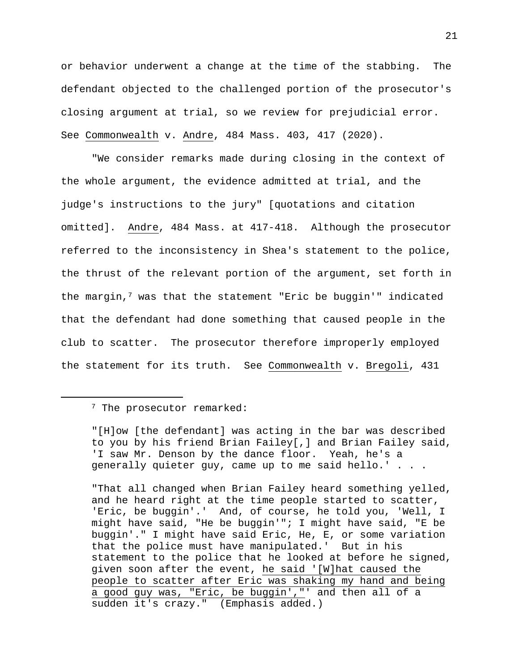or behavior underwent a change at the time of the stabbing. The defendant objected to the challenged portion of the prosecutor's closing argument at trial, so we review for prejudicial error. See Commonwealth v. Andre, 484 Mass. 403, 417 (2020).

"We consider remarks made during closing in the context of the whole argument, the evidence admitted at trial, and the judge's instructions to the jury" [quotations and citation omitted]. Andre, 484 Mass. at 417-418. Although the prosecutor referred to the inconsistency in Shea's statement to the police, the thrust of the relevant portion of the argument, set forth in the margin,7 was that the statement "Eric be buggin'" indicated that the defendant had done something that caused people in the club to scatter. The prosecutor therefore improperly employed the statement for its truth. See Commonwealth v. Bregoli, 431

"That all changed when Brian Failey heard something yelled, and he heard right at the time people started to scatter, 'Eric, be buggin'.' And, of course, he told you, 'Well, I might have said, "He be buggin'"; I might have said, "E be buggin'." I might have said Eric, He, E, or some variation that the police must have manipulated.' But in his statement to the police that he looked at before he signed, given soon after the event, he said '[W]hat caused the people to scatter after Eric was shaking my hand and being a good guy was, "Eric, be buggin',"' and then all of a sudden it's crazy." (Emphasis added.)

<sup>&</sup>lt;sup>7</sup> The prosecutor remarked:

<sup>&</sup>quot;[H]ow [the defendant] was acting in the bar was described to you by his friend Brian Failey[,] and Brian Failey said, 'I saw Mr. Denson by the dance floor. Yeah, he's a generally quieter guy, came up to me said hello.' . . .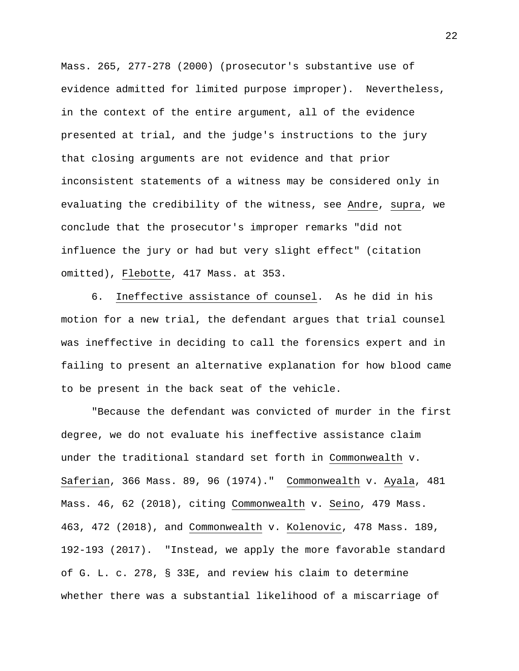Mass. 265, 277-278 (2000) (prosecutor's substantive use of evidence admitted for limited purpose improper). Nevertheless, in the context of the entire argument, all of the evidence presented at trial, and the judge's instructions to the jury that closing arguments are not evidence and that prior inconsistent statements of a witness may be considered only in evaluating the credibility of the witness, see Andre, supra, we conclude that the prosecutor's improper remarks "did not influence the jury or had but very slight effect" (citation omitted), Flebotte, 417 Mass. at 353.

 6. Ineffective assistance of counsel. As he did in his motion for a new trial, the defendant argues that trial counsel was ineffective in deciding to call the forensics expert and in failing to present an alternative explanation for how blood came to be present in the back seat of the vehicle.

"Because the defendant was convicted of murder in the first degree, we do not evaluate his ineffective assistance claim under the traditional standard set forth in Commonwealth v. Saferian, 366 Mass. 89, 96 (1974)." Commonwealth v. Ayala, 481 Mass. 46, 62 (2018), citing Commonwealth v. Seino, 479 Mass. 463, 472 (2018), and Commonwealth v. Kolenovic, 478 Mass. 189, 192-193 (2017). "Instead, we apply the more favorable standard of G. L. c. 278, § 33E, and review his claim to determine whether there was a substantial likelihood of a miscarriage of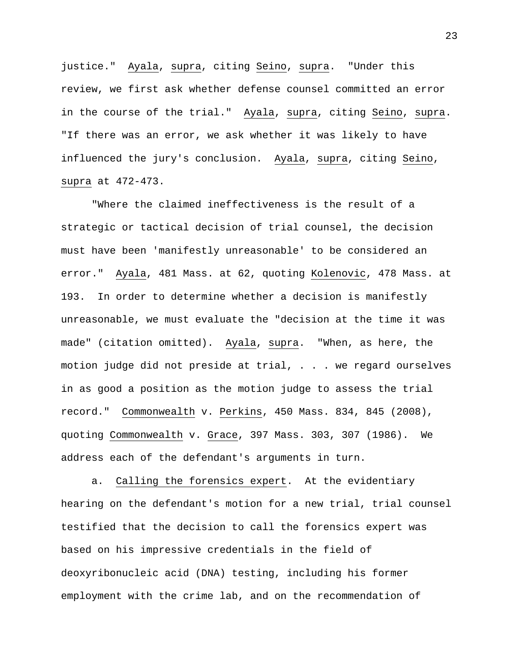justice." Ayala, supra, citing Seino, supra. "Under this review, we first ask whether defense counsel committed an error in the course of the trial." Ayala, supra, citing Seino, supra. "If there was an error, we ask whether it was likely to have influenced the jury's conclusion. Ayala, supra, citing Seino, supra at 472-473.

"Where the claimed ineffectiveness is the result of a strategic or tactical decision of trial counsel, the decision must have been 'manifestly unreasonable' to be considered an error." Ayala, 481 Mass. at 62, quoting Kolenovic, 478 Mass. at 193. In order to determine whether a decision is manifestly unreasonable, we must evaluate the "decision at the time it was made" (citation omitted). Ayala, supra. "When, as here, the motion judge did not preside at trial, . . . we regard ourselves in as good a position as the motion judge to assess the trial record." Commonwealth v. Perkins, 450 Mass. 834, 845 (2008), quoting Commonwealth v. Grace, 397 Mass. 303, 307 (1986). We address each of the defendant's arguments in turn.

a. Calling the forensics expert. At the evidentiary hearing on the defendant's motion for a new trial, trial counsel testified that the decision to call the forensics expert was based on his impressive credentials in the field of deoxyribonucleic acid (DNA) testing, including his former employment with the crime lab, and on the recommendation of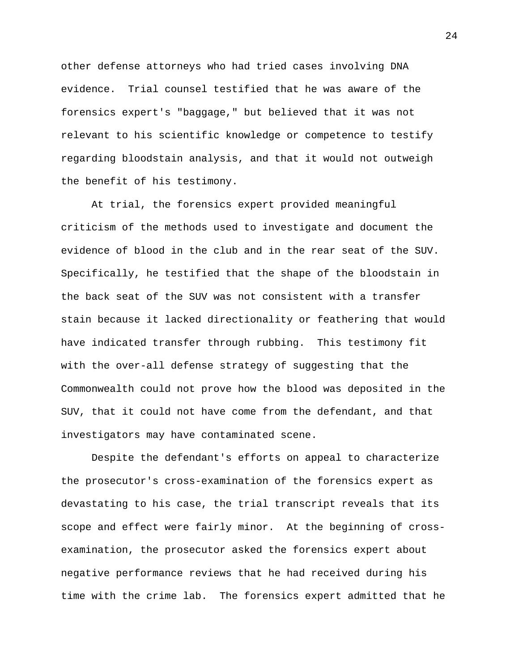other defense attorneys who had tried cases involving DNA evidence. Trial counsel testified that he was aware of the forensics expert's "baggage," but believed that it was not relevant to his scientific knowledge or competence to testify regarding bloodstain analysis, and that it would not outweigh the benefit of his testimony.

At trial, the forensics expert provided meaningful criticism of the methods used to investigate and document the evidence of blood in the club and in the rear seat of the SUV. Specifically, he testified that the shape of the bloodstain in the back seat of the SUV was not consistent with a transfer stain because it lacked directionality or feathering that would have indicated transfer through rubbing. This testimony fit with the over-all defense strategy of suggesting that the Commonwealth could not prove how the blood was deposited in the SUV, that it could not have come from the defendant, and that investigators may have contaminated scene.

Despite the defendant's efforts on appeal to characterize the prosecutor's cross-examination of the forensics expert as devastating to his case, the trial transcript reveals that its scope and effect were fairly minor. At the beginning of crossexamination, the prosecutor asked the forensics expert about negative performance reviews that he had received during his time with the crime lab. The forensics expert admitted that he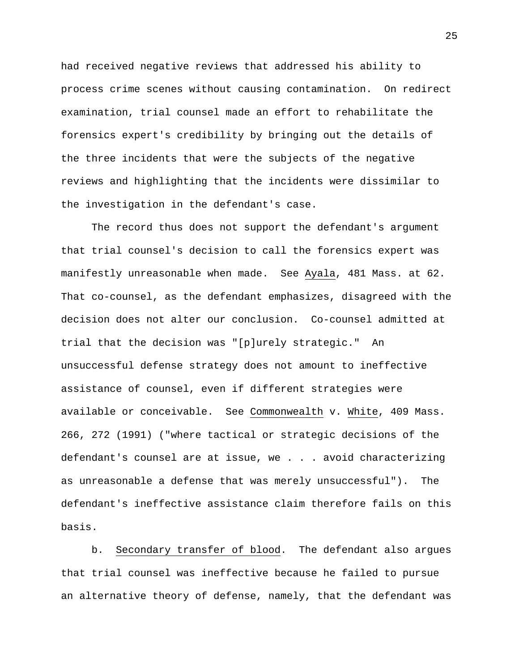had received negative reviews that addressed his ability to process crime scenes without causing contamination. On redirect examination, trial counsel made an effort to rehabilitate the forensics expert's credibility by bringing out the details of the three incidents that were the subjects of the negative reviews and highlighting that the incidents were dissimilar to the investigation in the defendant's case.

The record thus does not support the defendant's argument that trial counsel's decision to call the forensics expert was manifestly unreasonable when made. See Ayala, 481 Mass. at 62. That co-counsel, as the defendant emphasizes, disagreed with the decision does not alter our conclusion. Co-counsel admitted at trial that the decision was "[p]urely strategic." An unsuccessful defense strategy does not amount to ineffective assistance of counsel, even if different strategies were available or conceivable. See Commonwealth v. White, 409 Mass. 266, 272 (1991) ("where tactical or strategic decisions of the defendant's counsel are at issue, we . . . avoid characterizing as unreasonable a defense that was merely unsuccessful"). The defendant's ineffective assistance claim therefore fails on this basis.

b. Secondary transfer of blood. The defendant also argues that trial counsel was ineffective because he failed to pursue an alternative theory of defense, namely, that the defendant was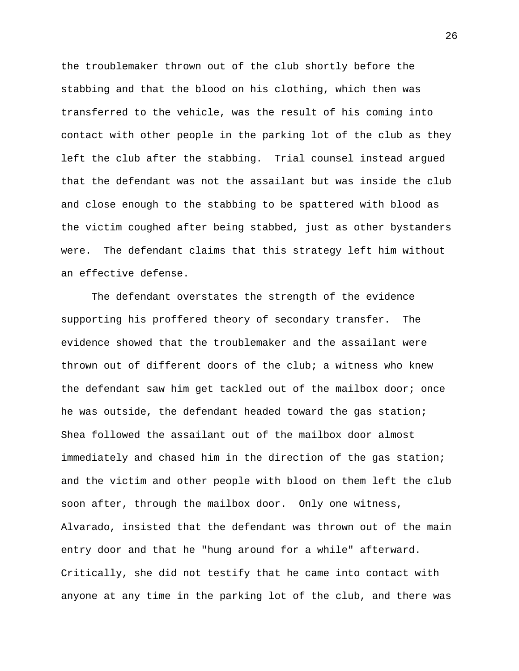the troublemaker thrown out of the club shortly before the stabbing and that the blood on his clothing, which then was transferred to the vehicle, was the result of his coming into contact with other people in the parking lot of the club as they left the club after the stabbing. Trial counsel instead argued that the defendant was not the assailant but was inside the club and close enough to the stabbing to be spattered with blood as the victim coughed after being stabbed, just as other bystanders were. The defendant claims that this strategy left him without an effective defense.

The defendant overstates the strength of the evidence supporting his proffered theory of secondary transfer. The evidence showed that the troublemaker and the assailant were thrown out of different doors of the club; a witness who knew the defendant saw him get tackled out of the mailbox door; once he was outside, the defendant headed toward the gas station; Shea followed the assailant out of the mailbox door almost immediately and chased him in the direction of the gas station; and the victim and other people with blood on them left the club soon after, through the mailbox door. Only one witness, Alvarado, insisted that the defendant was thrown out of the main entry door and that he "hung around for a while" afterward. Critically, she did not testify that he came into contact with anyone at any time in the parking lot of the club, and there was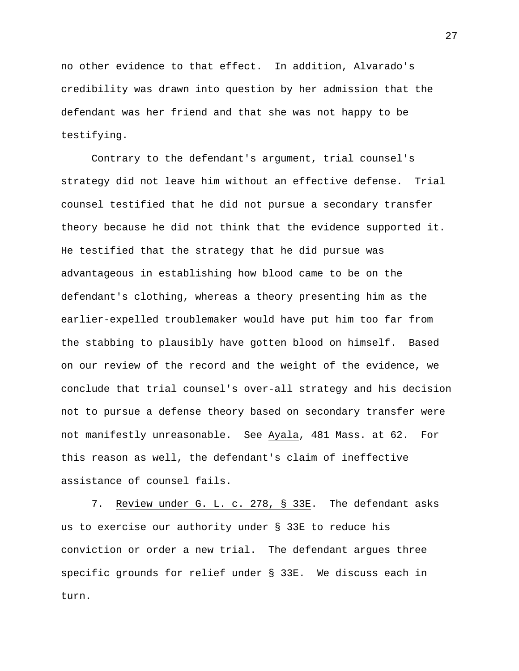no other evidence to that effect. In addition, Alvarado's credibility was drawn into question by her admission that the defendant was her friend and that she was not happy to be testifying.

Contrary to the defendant's argument, trial counsel's strategy did not leave him without an effective defense. Trial counsel testified that he did not pursue a secondary transfer theory because he did not think that the evidence supported it. He testified that the strategy that he did pursue was advantageous in establishing how blood came to be on the defendant's clothing, whereas a theory presenting him as the earlier-expelled troublemaker would have put him too far from the stabbing to plausibly have gotten blood on himself. Based on our review of the record and the weight of the evidence, we conclude that trial counsel's over-all strategy and his decision not to pursue a defense theory based on secondary transfer were not manifestly unreasonable. See Ayala, 481 Mass. at 62. For this reason as well, the defendant's claim of ineffective assistance of counsel fails.

7. Review under G. L. c. 278, § 33E. The defendant asks us to exercise our authority under § 33E to reduce his conviction or order a new trial. The defendant argues three specific grounds for relief under § 33E. We discuss each in turn.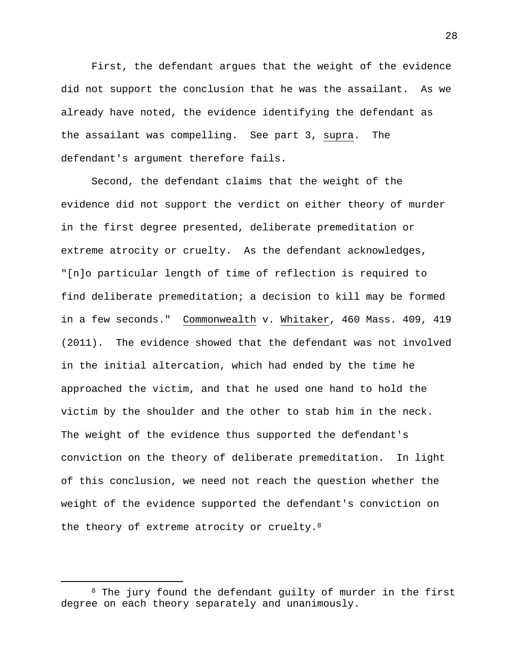First, the defendant argues that the weight of the evidence did not support the conclusion that he was the assailant. As we already have noted, the evidence identifying the defendant as the assailant was compelling. See part 3, supra. The defendant's argument therefore fails.

Second, the defendant claims that the weight of the evidence did not support the verdict on either theory of murder in the first degree presented, deliberate premeditation or extreme atrocity or cruelty. As the defendant acknowledges, "[n]o particular length of time of reflection is required to find deliberate premeditation; a decision to kill may be formed in a few seconds." Commonwealth v. Whitaker, 460 Mass. 409, 419 (2011). The evidence showed that the defendant was not involved in the initial altercation, which had ended by the time he approached the victim, and that he used one hand to hold the victim by the shoulder and the other to stab him in the neck. The weight of the evidence thus supported the defendant's conviction on the theory of deliberate premeditation. In light of this conclusion, we need not reach the question whether the weight of the evidence supported the defendant's conviction on the theory of extreme atrocity or cruelty.<sup>8</sup>

<sup>8</sup> The jury found the defendant guilty of murder in the first degree on each theory separately and unanimously.